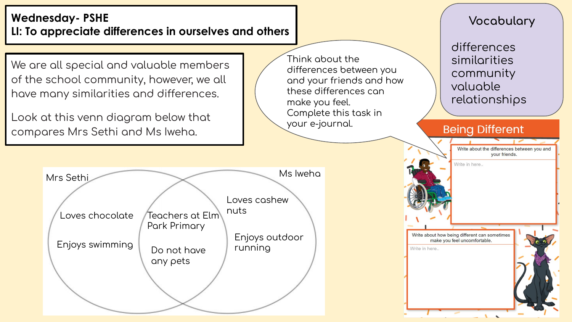### **Wednesday- PSHE LI: To appreciate differences in ourselves and others**

We are all special and valuable members of the school community, however, we all have many similarities and differences.

Look at this venn diagram below that compares Mrs Sethi and Ms Iweha.

Think about the differences between you and your friends and how these differences can make you feel. Complete this task in your e-journal.

### **Vocabulary**

differences similarities community valuable relationships

#### **Being Different**



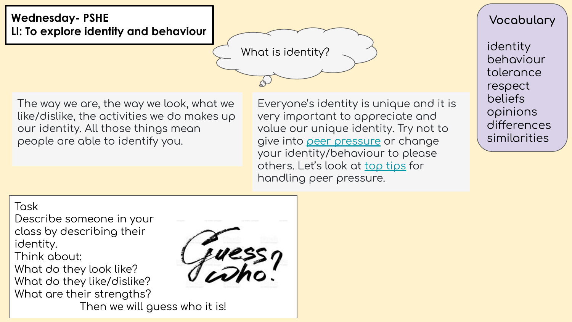# **Wednesday- PSHE LI: To explore identity and behaviour**

What is identity?

The way we are, the way we look, what we like/dislike, the activities we do makes up our identity. All those things mean people are able to identiÿy you.

Everyone's identity is unique and it is very important to appreciate and value our unique identity. Try not to give into [peer pressure](https://www.youtube.com/watch?v=FGv6sx0gOcc) or change your identity/behaviour to please others. Let's look at [top tips](https://www.bbc.co.uk/cbbc/joinin/handling-peer-pressure) for handling peer pressure.

**Vocabulary**

identity behaviour tolerance respect beliefs opinions differences similarities

#### Task

Describe someone in your class by describing their identity. Think about: What do they look like? What do they like/dislike? What are their strengths?



Then we will guess who it is!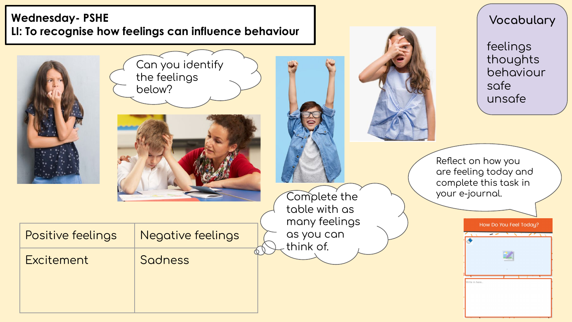# **Wednesday- PSHE LI: To recognise how feelings can influence behaviour**



**Vocabulary**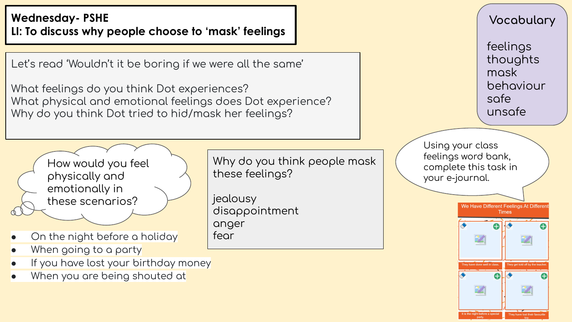# **Wednesday-PSHE** LI: To discuss why people choose to 'mask' feelings

Let's read 'Wouldn't it be boring if we were all the same'

What feelings do you think Dot experiences? What physical and emotional feelings does Dot experience? Why do you think Dot tried to hid/mask her feelings?



- On the night before a holiday
- When going to a party  $\bullet$
- If you have lost your birthday money
- When you are being shouted at

Why do you think people mask these feelings?

jealousy disappointment anger fear

Vocabulary feelings thoughts mask behaviour safe unsafe Using your class feelings word bank, complete this task in your e-journal. We Have Different Feelings At Different **Times** v have done well in class A

the night before a special